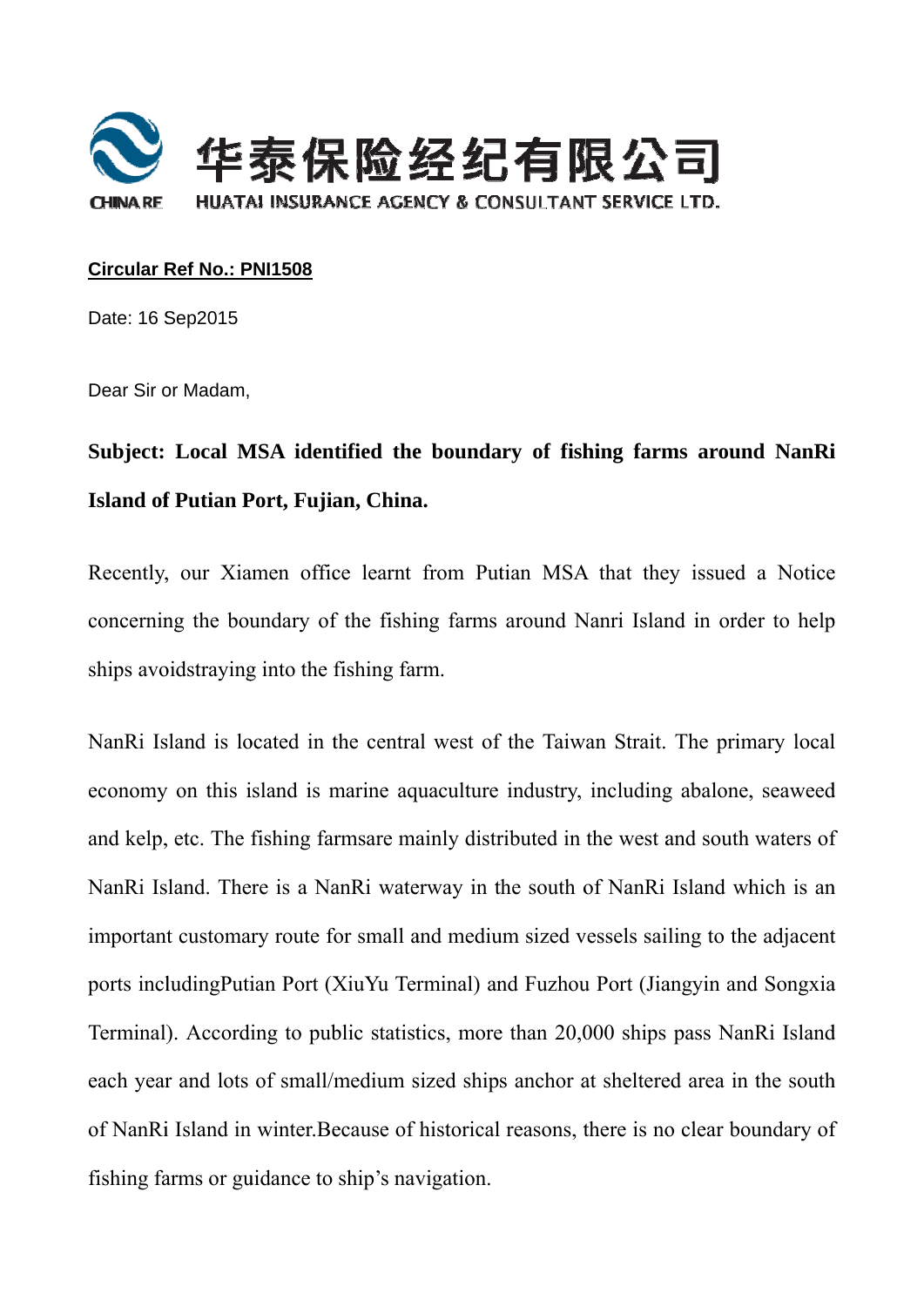

## **Circular R Ref No.: P PNI1508**

Date: 16 S Sep2015

Dear Sir or Madam,

## Subject: Local MSA identified the boundary of fishing farms around NanRi **Island of Putian Port, Fujian, China.**

Recently, our Xiamen office learnt from Putian MSA that they issued a Notice concerning the boundary of the fishing farms around Nanri Island in order to help ships avoidstraying into the fishing farm.

NanRi Island is located in the central west of the Taiwan Strait. The primary local economy on this island is marine aquaculture industry, including abalone, seaweed and kelp, etc. The fishing farmsare mainly distributed in the west and south waters of NanRi Island. There is a NanRi waterway in the south of NanRi Island which is an important customary route for small and medium sized vessels sailing to the adjacent ports includingPutian Port (XiuYu Terminal) and Fuzhou Port (Jiangyin and Songxia Terminal). According to public statistics, more than 20,000 ships pass NanRi Island each year and lots of small/medium sized ships anchor at sheltered area in the south of NanRi Island in winter. Because of historical reasons, there is no clear boundary of fishing farms or guidance to ship's navigation. eppedia<br>aldofntadh<br>adh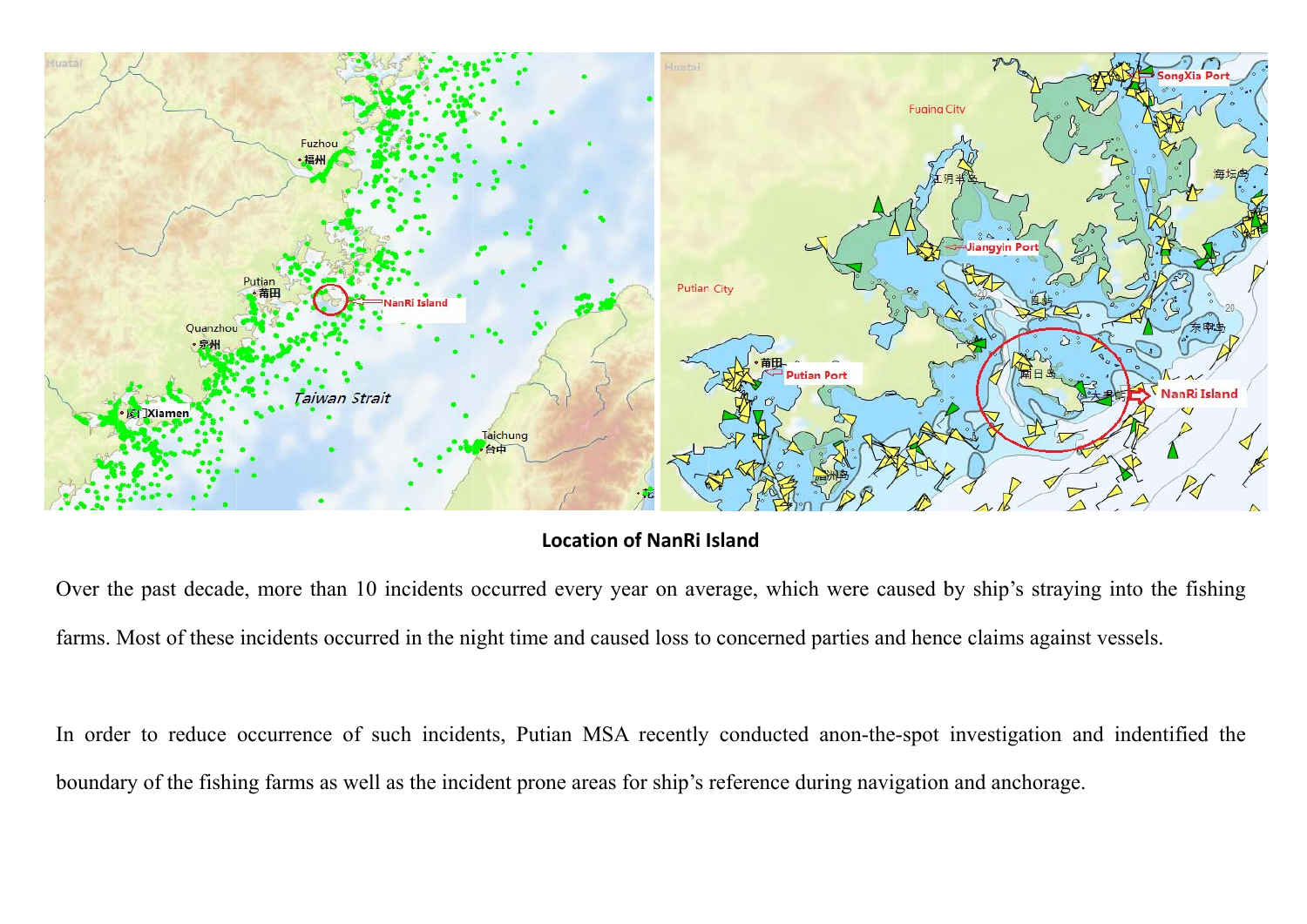

## **Locat ion of NanRi I Island**

Over the past decade, more than 10 incidents occurred every year on average, which were caused by ship's straying into the fishing farms. Most of these incidents occurred in the night time and caused loss to concerned parties and hence claims against vessels.

In order to reduce occurrence of such incidents, Putian MSA recently conducted anon-the-spot investigation and indentified the boundary of the fishing farms as well as the incident prone areas for ship's reference during navigation and anchorage.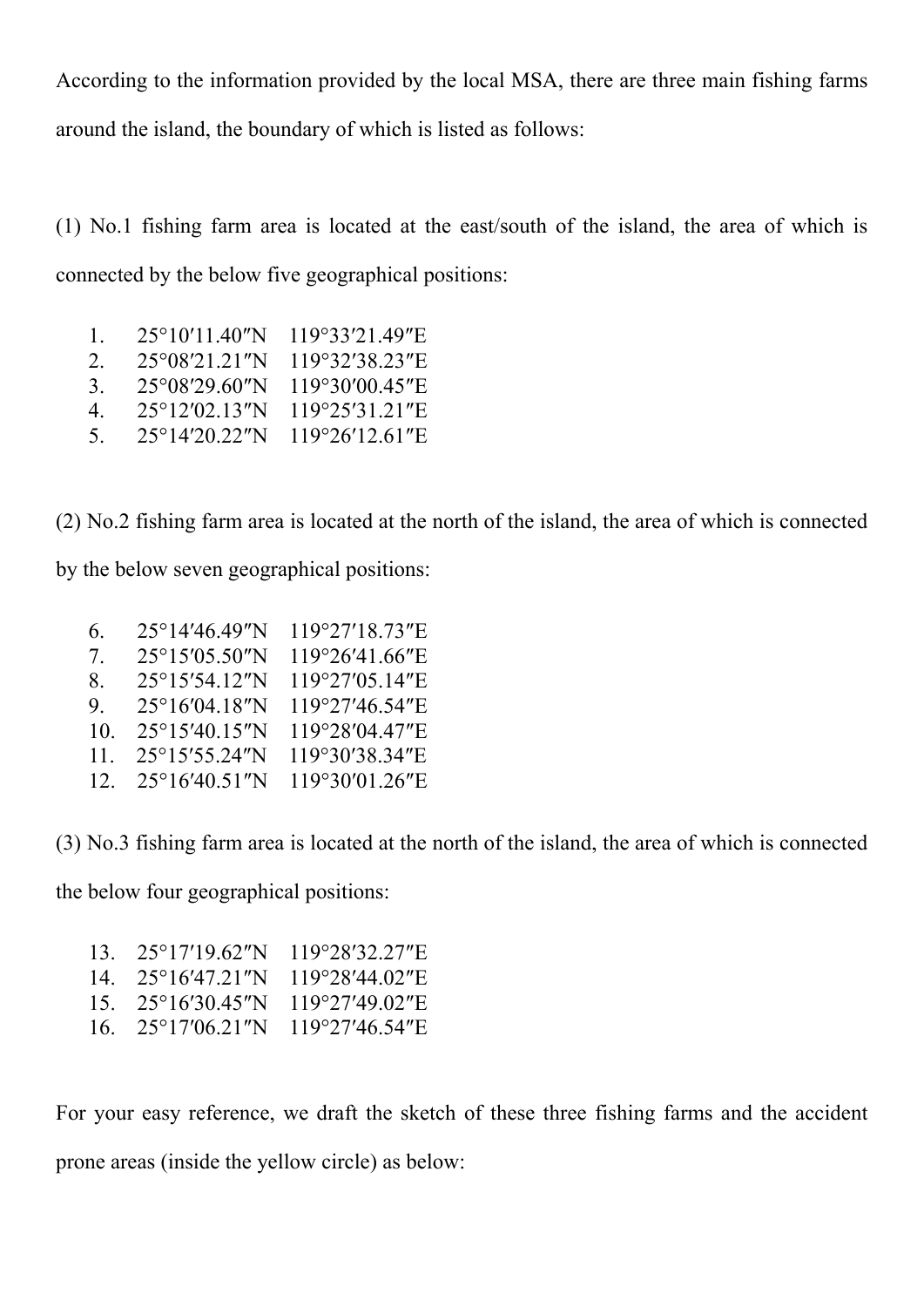According to the information provided by the local MSA, there are three main fishing farms around the island, the boundary of which is listed as follows:

(1) No.1 fishing farm area is located at the east/south of the island, the area of which is connected by the below five geographical positions:

| $\mathbf{L}$  | 25°10'11 40"N           | $119^{\circ}33'21.49''E$ |
|---------------|-------------------------|--------------------------|
| $\mathcal{L}$ | 25°08′21.21″N           | 119°32'38.23"E           |
| 3.            | $25^{\circ}08'29.60''N$ | $119^{\circ}30'00.45"E$  |
| 4             | 25°12′02.13″N           | $119^{\circ}25'31.21''E$ |
| $\Delta$      | $25^{\circ}14'20.22''N$ | $119^{\circ}26'12.61"E$  |

(2) No.2 fishing farm area is located at the north of the island, the area of which is connected

by the below seven geographical positions:

| 6.                               | $25^{\circ}$ 14'46.49"N | 119°27'18.73"E           |
|----------------------------------|-------------------------|--------------------------|
| $\gamma$ .                       | $25^{\circ}15'05.50''N$ | 119°26'41.66"E           |
| 8.                               | 25°15'54.12″N           | $119^{\circ}27'05.14''E$ |
| 9.                               | $25^{\circ}16'04.18''N$ | 119°27'46.54"E           |
| 10.                              | 25°15'40.15″N           | 119°28'04 47"E           |
| $11_{\scriptscriptstyle{\odot}}$ | 25°15′55.24″N           | 119°30'38.34"E           |
| 12.                              | 25°16'40.51″N           | 119°30'01.26"E           |

(3) No.3 fishing farm area is located at the north of the island, the area of which is connected

the below four geographical positions:

| $13. \quad 25^{\circ}17'19.62''N$                              | 119°28′32.27″E            |
|----------------------------------------------------------------|---------------------------|
| $14 \quad 25^{\circ}16'47.21''N$                               | $119^{\circ}28'44.02''$ E |
| $15. \quad 25^{\circ}16'30.45''N \quad 119^{\circ}27'49.02''E$ |                           |
| 16. $25^{\circ}17'06.21''N$ 119°27'46.54"E                     |                           |
|                                                                |                           |

For your easy reference, we draft the sketch of these three fishing farms and the accident prone areas (inside the yellow circle) as below: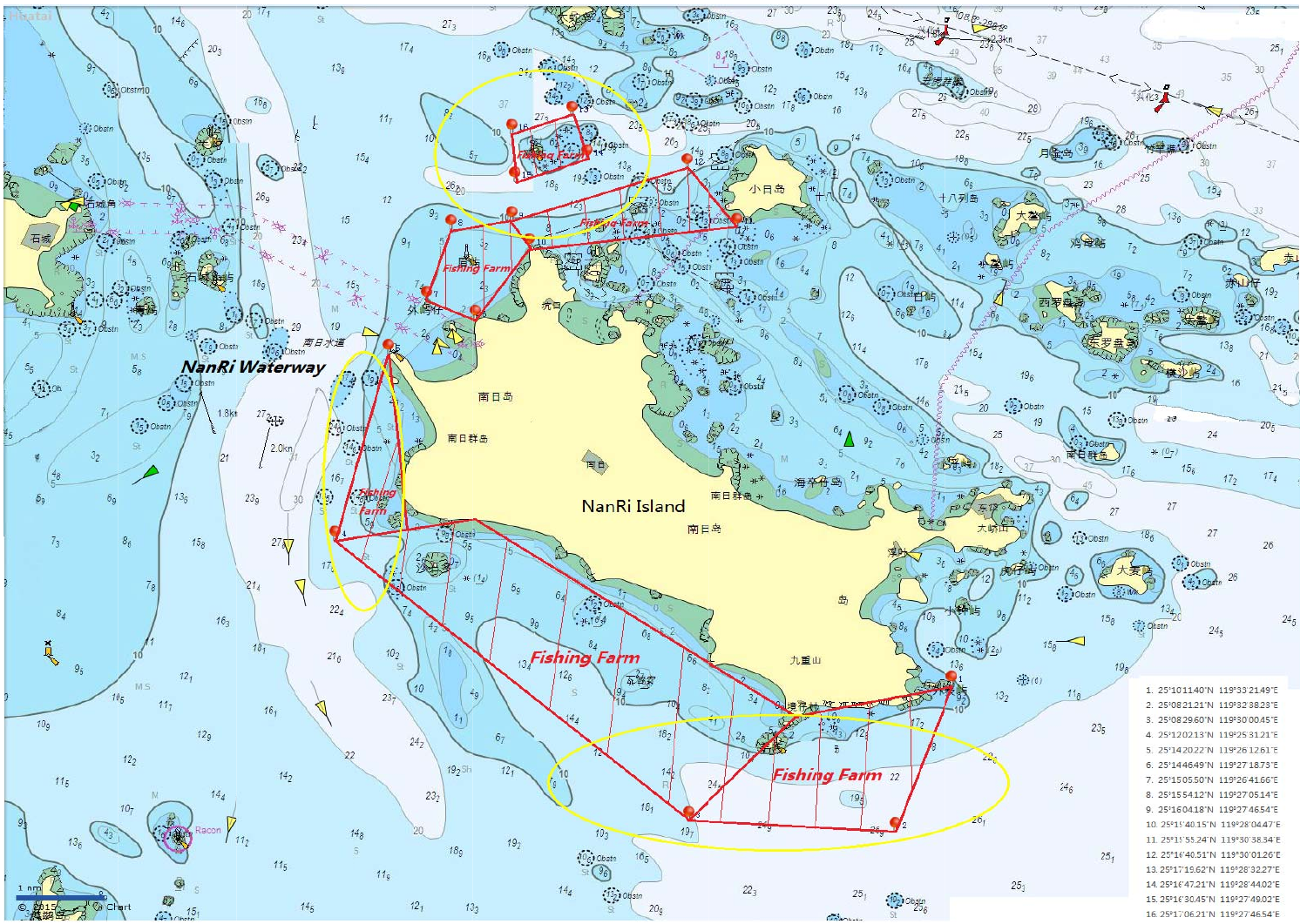